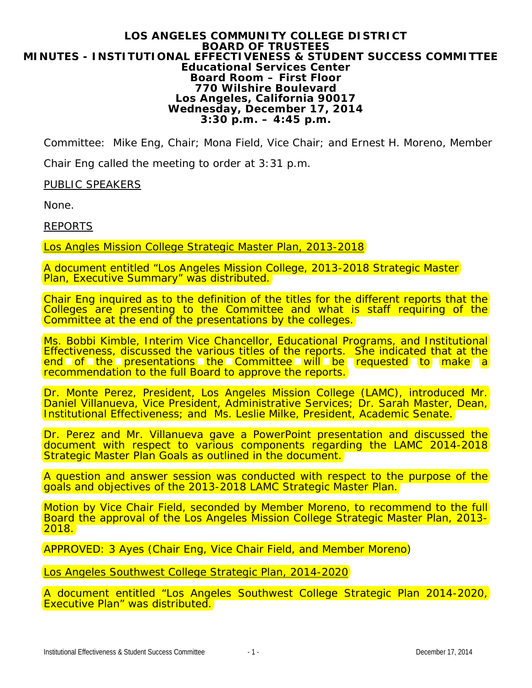## **LOS ANGELES COMMUNITY COLLEGE DISTRICT BOARD OF TRUSTEES MINUTES - INSTITUTIONAL EFFECTIVENESS & STUDENT SUCCESS COMMITTEE Educational Services Center Board Room – First Floor 770 Wilshire Boulevard Los Angeles, California 90017 Wednesday, December 17, 2014 3:30 p.m. – 4:45 p.m.**

Committee: Mike Eng, Chair; Mona Field, Vice Chair; and Ernest H. Moreno, Member

Chair Eng called the meeting to order at 3:31 p.m.

PUBLIC SPEAKERS

None.

REPORTS

Los Angles Mission College Strategic Master Plan, 2013-2018

A document entitled "Los Angeles Mission College, 2013-2018 Strategic Master **Plan, Executive Summary" was distributed.** 

Chair Eng inquired as to the definition of the titles for the different reports that the Colleges are presenting to the Committee and what is staff requiring of the Committee at the end of the presentations by the colleges.

Ms. Bobbi Kimble, Interim Vice Chancellor, Educational Programs, and Institutional Effectiveness, discussed the various titles of the reports. She indicated that at the end of the presentations the Committee will be requested to make a recommendation to the full Board to approve the reports.

Dr. Monte Perez, President, Los Angeles Mission College (LAMC), introduced Mr. Daniel Villanueva, Vice President, Administrative Services; Dr. Sarah Master, Dean, Institutional Effectiveness; and Ms. Leslie Milke, President, Academic Senate.

Dr. Perez and Mr. Villanueva gave a PowerPoint presentation and discussed the document with respect to various components regarding the LAMC 2014-2018 Strategic Master Plan Goals as outlined in the document.

A question and answer session was conducted with respect to the purpose of the goals and objectives of the 2013-2018 LAMC Strategic Master Plan.

Motion by Vice Chair Field, seconded by Member Moreno, to recommend to the full Board the approval of the Los Angeles Mission College Strategic Master Plan, 2013-<br>2018.

*APPROVED: 3 Ayes (Chair Eng, Vice Chair Field, and Member Moreno)*

Los Angeles Southwest College Strategic Plan, 2014-2020

A document entitled "Los Angeles Southwest College Strategic Plan 2014-2020, Executive Plan" was distributed.